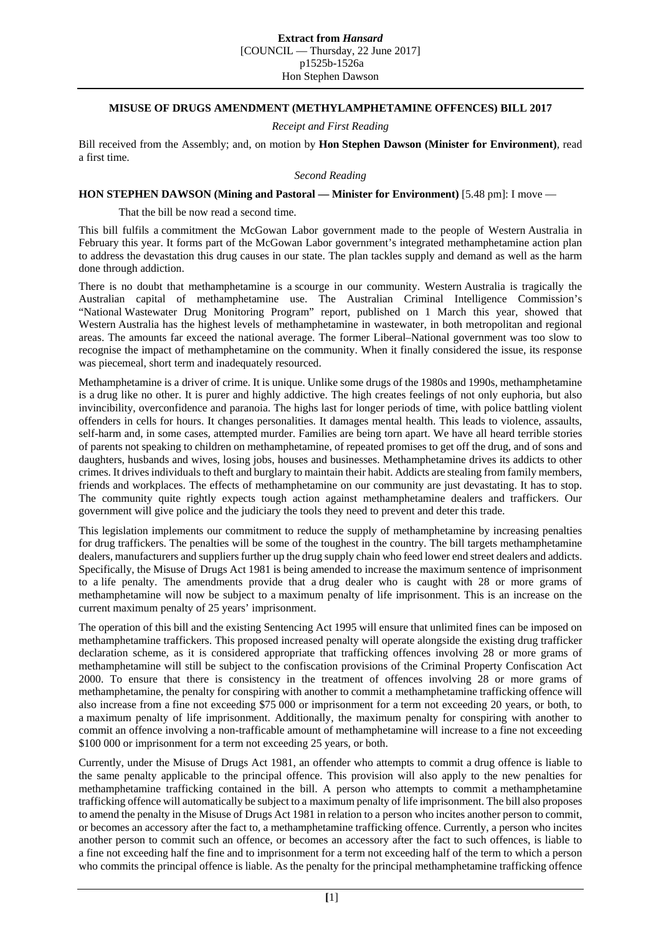## **Extract from** *Hansard*

[COUNCIL — Thursday, 22 June 2017] p1525b-1526a

Hon Stephen Dawson

## **MISUSE OF DRUGS AMENDMENT (METHYLAMPHETAMINE OFFENCES) BILL 2017**

*Receipt and First Reading*

Bill received from the Assembly; and, on motion by **Hon Stephen Dawson (Minister for Environment)**, read a first time.

*Second Reading*

## **HON STEPHEN DAWSON (Mining and Pastoral — Minister for Environment)** [5.48 pm]: I move —

That the bill be now read a second time.

This bill fulfils a commitment the McGowan Labor government made to the people of Western Australia in February this year. It forms part of the McGowan Labor government's integrated methamphetamine action plan to address the devastation this drug causes in our state. The plan tackles supply and demand as well as the harm done through addiction.

There is no doubt that methamphetamine is a scourge in our community. Western Australia is tragically the Australian capital of methamphetamine use. The Australian Criminal Intelligence Commission's "National Wastewater Drug Monitoring Program" report, published on 1 March this year, showed that Western Australia has the highest levels of methamphetamine in wastewater, in both metropolitan and regional areas. The amounts far exceed the national average. The former Liberal–National government was too slow to recognise the impact of methamphetamine on the community. When it finally considered the issue, its response was piecemeal, short term and inadequately resourced.

Methamphetamine is a driver of crime. It is unique. Unlike some drugs of the 1980s and 1990s, methamphetamine is a drug like no other. It is purer and highly addictive. The high creates feelings of not only euphoria, but also invincibility, overconfidence and paranoia. The highs last for longer periods of time, with police battling violent offenders in cells for hours. It changes personalities. It damages mental health. This leads to violence, assaults, self-harm and, in some cases, attempted murder. Families are being torn apart. We have all heard terrible stories of parents not speaking to children on methamphetamine, of repeated promises to get off the drug, and of sons and daughters, husbands and wives, losing jobs, houses and businesses. Methamphetamine drives its addicts to other crimes. It drives individuals to theft and burglary to maintain their habit. Addicts are stealing from family members, friends and workplaces. The effects of methamphetamine on our community are just devastating. It has to stop. The community quite rightly expects tough action against methamphetamine dealers and traffickers. Our government will give police and the judiciary the tools they need to prevent and deter this trade.

This legislation implements our commitment to reduce the supply of methamphetamine by increasing penalties for drug traffickers. The penalties will be some of the toughest in the country. The bill targets methamphetamine dealers, manufacturers and suppliers further up the drug supply chain who feed lower end street dealers and addicts. Specifically, the Misuse of Drugs Act 1981 is being amended to increase the maximum sentence of imprisonment to a life penalty. The amendments provide that a drug dealer who is caught with 28 or more grams of methamphetamine will now be subject to a maximum penalty of life imprisonment. This is an increase on the current maximum penalty of 25 years' imprisonment.

The operation of this bill and the existing Sentencing Act 1995 will ensure that unlimited fines can be imposed on methamphetamine traffickers. This proposed increased penalty will operate alongside the existing drug trafficker declaration scheme, as it is considered appropriate that trafficking offences involving 28 or more grams of methamphetamine will still be subject to the confiscation provisions of the Criminal Property Confiscation Act 2000. To ensure that there is consistency in the treatment of offences involving 28 or more grams of methamphetamine, the penalty for conspiring with another to commit a methamphetamine trafficking offence will also increase from a fine not exceeding \$75 000 or imprisonment for a term not exceeding 20 years, or both, to a maximum penalty of life imprisonment. Additionally, the maximum penalty for conspiring with another to commit an offence involving a non-trafficable amount of methamphetamine will increase to a fine not exceeding \$100 000 or imprisonment for a term not exceeding 25 years, or both.

Currently, under the Misuse of Drugs Act 1981, an offender who attempts to commit a drug offence is liable to the same penalty applicable to the principal offence. This provision will also apply to the new penalties for methamphetamine trafficking contained in the bill. A person who attempts to commit a methamphetamine trafficking offence will automatically be subject to a maximum penalty of life imprisonment. The bill also proposes to amend the penalty in the Misuse of Drugs Act 1981 in relation to a person who incites another person to commit, or becomes an accessory after the fact to, a methamphetamine trafficking offence. Currently, a person who incites another person to commit such an offence, or becomes an accessory after the fact to such offences, is liable to a fine not exceeding half the fine and to imprisonment for a term not exceeding half of the term to which a person who commits the principal offence is liable. As the penalty for the principal methamphetamine trafficking offence